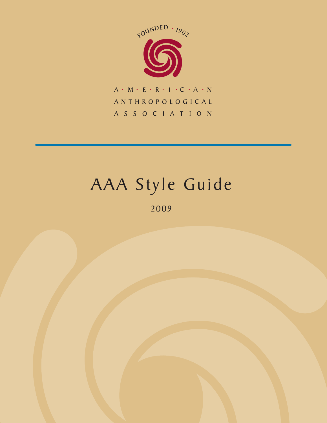

 $A + M + E + R + I + C + A + N$ ANTHROPOLOGICAL A S S O C I A T I O N

## AAA Style Guide

2009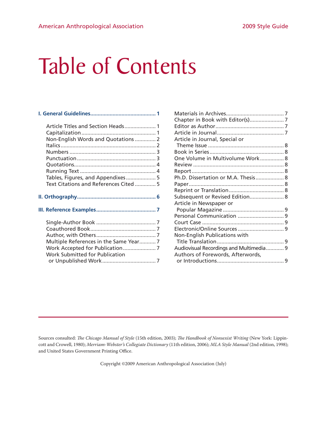# Table of Contents

| Article Titles and Section Heads 1     |  |
|----------------------------------------|--|
|                                        |  |
| Non-English Words and Quotations  2    |  |
|                                        |  |
|                                        |  |
|                                        |  |
|                                        |  |
|                                        |  |
| Tables, Figures, and Appendixes 5      |  |
| Text Citations and References Cited  5 |  |
|                                        |  |
|                                        |  |
|                                        |  |

| One Volume in Multivolume Work 8        |
|-----------------------------------------|
|                                         |
|                                         |
| Ph.D. Dissertation or M.A. Thesis 8     |
|                                         |
|                                         |
| Subsequent or Revised Edition 8         |
|                                         |
|                                         |
|                                         |
|                                         |
|                                         |
|                                         |
|                                         |
| Audiovisual Recordings and Multimedia 9 |
|                                         |
|                                         |
|                                         |

Sources consulted: *The Chicago Manual of Style* (15th edition, 2003); *The Handbook of Nonsexist Writing* (New York: Lippincott and Crowell, 1980); *Merriam-Webster's Collegiate Dictionary* (11th edition, 2006); *MLA Style Manual* (2nd edition, 1998); and United States Government Printing Office.

Copyright ©2009 American Anthropological Association (July)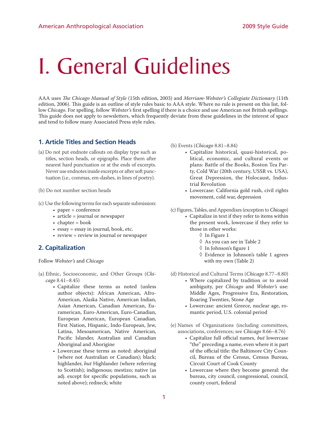## I. General Guidelines

AAA uses *The Chicago Manual of Style* (15th edition, 2003) and *Merriam-Webster's Collegiate Dictionary* (11th edition, 2006). This guide is an outline of style rules basic to AAA style. Where no rule is present on this list, follow *Chicago*. For spelling, follow *Webster's* first spelling if there is a choice and use American not British spellings. This guide does not apply to newsletters, which frequently deviate from these guidelines in the interest of space and tend to follow many Associated Press style rules.

#### **1. Article Titles and Section Heads**

- (a) Do not put endnote callouts on display type such as titles, section heads, or epigraphs. Place them after nearest hard punctuation or at the ends of excerpts. Never use endnotes inside excerpts or after soft punctuation (i.e., commas, em-dashes, in lines of poetry).
- (b) Do not number section heads
- (c) Use the following terms for each separate submission:
	- paper = conference
	- article = journal or newspaper
	- $\bullet$  chapter = book
	- essay = essay in journal, book, etc.
	- review = review in journal or newspaper

#### **2. Capitalization**

Follow *Webster's* and *Chicago*

- (a) Ethnic, Socioeconomic, and Other Groups (*Chicago* 8.41–8.45)
	- Capitalize these terms as noted (unless author objects): African American, Afro-American, Alaska Native, American Indian, Asian American, Canadian American, Euramerican, Euro-American, Euro-Canadian, European American, European Canadian, First Nation, Hispanic, Indo-European, Jew, Latina, Mesoamerican, Native American, Pacific Islander, Australian and Canadian Aboriginal and Aborigine
	- Lowercase these terms as noted: aboriginal (where not Australian or Canadian); black; highlander, *but* Highlander (where referring to Scottish); indigenous; mestizo; native (as adj. except for specific populations, such as noted above); redneck; white
- (b) Events (*Chicago* 8.81–8.84)
	- Capitalize historical, quasi-historical, political, economic, and cultural events or plans: Battle of the Books, Boston Tea Party, Cold War (20th century, USSR vs. USA), Great Depression, the Holocaust, Industrial Revolution
	- Lowercase: California gold rush, civil rights movement, cold war, depression
- (c) Figures, Tables, and Appendixes (exception to *Chicago*)
	- Capitalize in text if they refer to items within the present work, lowercase if they refer to those in other works:
		- ◊ In Figure 1
		- ◊ As you can see in Table 2
		- ◊ In Johnson's figure 1
		- ◊ Evidence in Johnson's table 1 agrees with my own (Table 2)
- (d) Historical and Cultural Terms (*Chicago* 8.77–8.80) • Where capitalized by tradition or to avoid
	- ambiguity, per *Chicago* and *Webster's* use: Middle Ages, Progressive Era, Restoration, Roaring Twenties, Stone Age
		- Lowercase: ancient Greece, nuclear age, romantic period, U.S. colonial period
- (e) Names of Organizations (including committees, associations, conferences; see *Chicago* 8.66–8.76)
	- Capitalize full official names, *but* lowercase "the" preceding a name, even where it is part of the official title: the Baltimore City Council, Bureau of the Census, Census Bureau, Circuit Court of Cook County
	- Lowercase where they become general: the bureau, city council, congressional, council, county court, federal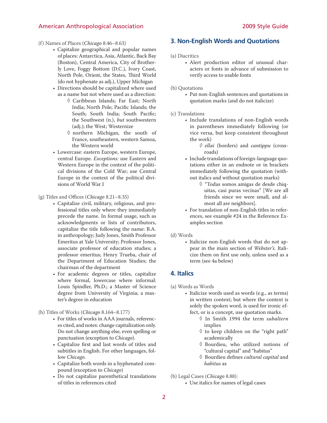- (f) Names of Places (*Chicago* 8.46–8.63)
	- Capitalize geographical and popular names of places: Antarctica, Asia, Atlantic, Back Bay (Boston), Central America, City of Brotherly Love, Foggy Bottom (D.C.), Ivory Coast, North Pole, Orient, the States, Third World (do not hyphenate as adj.), Upper Michigan
	- Directions should be capitalized where used as a name but not where used as a direction:
		- ◊ Caribbean Islands; Far East; North India; North Pole; Pacific Islands; the South; South India; South Pacific; the Southwest (n.), *but* southwestern (adj.); the West; Westernize
		- ◊ northern Michigan, the south of France, southeastern, western Samoa, the Western world
	- Lowercase: eastern Europe, western Europe, central Europe. *Exceptions:* use Eastern and Western Europe in the context of the political divisions of the Cold War; use Central Europe in the context of the political divisions of World War I
- (g) Titles and Offices (*Chicago* 8.21–8.35)
	- Capitalize civil, military, religious, and professional titles only where they immediately precede the name. In formal usage, such as acknowledgments or lists of contributors, capitalize the title following the name: B.A. in anthropology; Judy Jones, Smith Professor Emeritus at Yale University; Professor Jones, associate professor of education studies; a professor emeritus; Henry Trueba, chair of the Department of Education Studies; the chairman of the department
	- For academic degrees or titles, capitalize where formal, lowercase where informal: Louis Spindler, Ph.D.; a Master of Science degree from University of Virginia; a master's degree in education
- (h) Titles of Works (*Chicago* 8.164–8.177)
	- For titles of works in AAA journals, references cited, and notes: change capitalization only. Do not change anything else, even spelling or punctuation (exception to *Chicago*).
	- Capitalize first and last words of titles and subtitles in English. For other languages, follow *Chicago.*
	- Capitalize both words in a hyphenated compound (exception to *Chicago*)
	- Do not capitalize parenthetical translations of titles in references cited

#### **3. Non-English Words and Quotations**

(a) Diacritics

- Alert production editor of unusual characters or fonts in advance of submission to verify access to usable fonts
- (b) Quotations
	- Put non-English sentences and quotations in quotation marks (and do not italicize)
- (c) Translations
	- Include translations of non-English words in parentheses immediately following (or vice versa, but keep consistent throughout the work)
		- *◊ ellai* (borders) and *cantippu* (crossroads)
	- Include translations of foreign-language quotations either in an endnote or in brackets immediately following the quotation (without italics and without quotation marks)
		- ◊ "Todas somos amigas de desde chiquitas, casi puras vecinas" [We are all friends since we were small, and almost all are neighbors].
	- For translation of non-English titles in references, see example #24 in the Reference Examples section
- (d) Words
	- Italicize non-English words that do not appear in the main section of *Webster's*. Italicize them on first use only, unless used as a term (see 4a below)

#### **4. Italics**

- (a) Words as Words
	- Italicize words used as words (e.g., as terms) in written context; but where the context is solely the spoken word, is used for ironic effect, or is a concept, use quotation marks.
		- ◊ In Smith 1994 the term *subaltern* implies
		- ◊ to keep children on the "right path" academically
		- ◊ Bourdieu, who utilized notions of "cultural capital" and "habitus"
		- ◊ Bourdieu defines *cultural capital* and *habitus* as
- (b) Legal Cases (*Chicago* 8.88):
	- Use italics for names of legal cases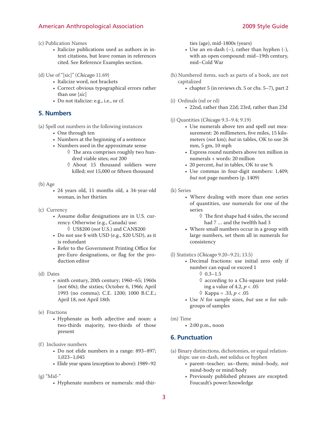- (c) Publication Names
	- Italicize publications used as authors in intext citations, but leave roman in references cited. See Reference Examples section.
- (d) Use of "[sic]" (*Chicago* 11.69)
	- Italicize word, not brackets
	- Correct obvious typographical errors rather than use [*sic*]
	- Do not italicize: e.g., i.e., or cf.

#### **5. Numbers**

- (a) Spell out numbers in the following instances
	- One through ten
	- Numbers at the beginning of a sentence
	- Numbers used in the approximate sense
		- $\Diamond$  The area comprises roughly two hundred viable sites; *not* 200
		- ◊ About 15 thousand soldiers were killed; *not* 15,000 or fifteen thousand

#### (b) Age

• 24 years old, 11 months old, a 34-year-old woman, in her thirties

- (c) Currency
	- Assume dollar designations are in U.S. currency. Otherwise (e.g., Canada) use: ◊ US\$200 (*not* U.S.) and CAN\$200
	- Do not use \$ with USD (e.g., \$20 USD), as it is redundant
	- Refer to the Government Printing Office for pre-Euro designations, or flag for the production editor
- (d) Dates
	- ninth century, 20th century; 1960–65; 1960s (*not* 60s); the sixties; October 6, 1966; April 1993 (no comma); C.E. 1200; 1000 B.C.E.; April 18, not April 18th

#### (e) Fractions

- Hyphenate as both adjective and noun: a two-thirds majority, two-thirds of those present
- (f) Inclusive numbers
	- Do not elide numbers in a range: 893–897; 1,023–1,045
	- Elide year spans (exception to above): 1989–92

#### (g) "Mid-"

• Hyphenate numbers or numerals: mid-thir-

ties (age), mid-1800s (years)

- Use an en-dash (–), rather than hyphen (-), with an open compound: mid–19th century, mid–Cold War
- (h) Numbered items, such as parts of a book, are not capitalized
	- chapter 5 (in reviews ch. 5 or chs. 5–7), part 2
- (i) Ordinals (nd or rd)
	- 22nd, rather than 22d; 23rd, rather than 23d
- (j) Quantities (*Chicago* 9.3–9.4; 9.19)
	- Use numerals above ten and spell out measurement: 26 millimeters, five miles, 15 kilometers (*not* km); *but* in tables, OK to use 26 mm, 5 gm, 10 mph
	- Express round numbers above ten million in numerals + words: 20 million
	- 20 percent, *but* in tables, OK to use %
	- Use commas in four-digit numbers: 1,409; *but* not page numbers (p. 1409)
- (k) Series
	- Where dealing with more than one series of quantities, use numerals for one of the series
		- ◊ The first shape had 4 sides, the second had 7 … and the twelfth had 3
	- Where small numbers occur in a group with large numbers, set them all in numerals for consistency
- (l) Statistics (*Chicago* 9.20–9.21; 13.5)
	- Decimal fractions: use initial zero only if number can equal or exceed 1
		- $0.3 1.5$
		- ◊ according to a Chi-square test yielding a value of 4.2, *p* < .05
		- $\Diamond$  Kappa = .33, *p* < .05
	- Use *N* for sample sizes, *but* use *n* for subgroups of samples
- (m) Time
	- 2:00 p.m., noon

#### **6. Punctuation**

- (a) Binary distinctions, dichotomies, or equal relationships: use en-dash, *not* solidus or hyphen
	- parent–teacher; us–them; mind–body, *not* mind-body or mind/body
	- Previously published phrases are excepted: Foucault's power/knowledge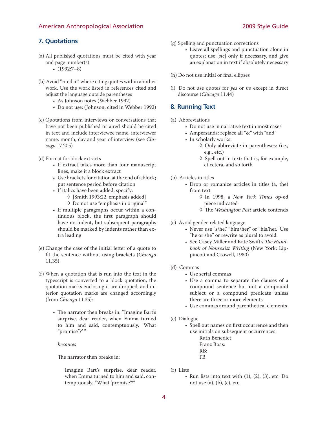#### **7. Quotations**

- (a) All published quotations must be cited with year and page number(s)
	- $\cdot$  (1992:7-8)
- (b) Avoid "cited in" where citing quotes within another work. Use the work listed in references cited and adjust the language outside parentheses
	- As Johnson notes (Webber 1992)
	- Do not use: (Johnson, cited in Webber 1992)
- (c) Quotations from interviews or conversations that have not been published or aired should be cited in text and include interviewee name, interviewer name, month, day and year of interview (see *Chicago* 17.205)
- (d) Format for block extracts
	- If extract takes more than four manuscript lines, make it a block extract
	- Use brackets for citation at the end of a block; put sentence period before citation
	- If italics have been added, specify:
		- ◊ [Smith 1993:22, emphasis added] ◊ Do not use "emphasis in original"
	- If multiple paragraphs occur within a continuous block, the first paragraph should have no indent, but subsequent paragraphs should be marked by indents rather than extra leading
- (e) Change the case of the initial letter of a quote to fit the sentence without using brackets (*Chicago* 11.35)
- (f) When a quotation that is run into the text in the typescript is converted to a block quotation, the quotation marks enclosing it are dropped, and interior quotation marks are changed accordingly (from *Chicago* 11.35):
	- The narrator then breaks in: "Imagine Bart's surprise, dear reader, when Emma turned to him and said, contemptuously, 'What "promise"?' "

*becomes*

The narrator then breaks in:

Imagine Bart's surprise, dear reader, when Emma turned to him and said, contemptuously, "What 'promise'?"

- (g) Spelling and punctuation corrections
	- Leave all spellings and punctuation alone in quotes; use [*sic*] only if necessary, and give an explanation in text if absolutely necessary
- (h) Do not use initial or final ellipses
- (i) Do not use quotes for *yes* or *no* except in direct discourse (*Chicago* 11.44)

#### **8. Running Text**

- (a) Abbreviations
	- Do not use in narrative text in most cases
	- Ampersands: replace all "&" with "and"
	- In scholarly works:
		- ◊ Only abbreviate in parentheses: (i.e., e.g., etc.)
		- ◊ Spell out in text: that is, for example, et cetera, and so forth
- (b) Articles in titles
	- Drop or romanize articles in titles (a, the) from text
		- ◊ In 1998, a *New York Times* op-ed piece indicated
		- ◊ The *Washington Post* article contends
- (c) Avoid gender-related language
	- Never use "s/he," "him/her," or "his/her." Use "he or she" or rewrite as plural to avoid.
	- See Casey Miller and Kate Swift's *The Handbook of Nonsexist Writing* (New York: Lippincott and Crowell, 1980)
- (d) Commas
	- Use serial commas
	- Use a comma to separate the clauses of a compound sentence but not a compound subject or a compound predicate unless there are three or more elements
	- Use commas around parenthetical elements
- (e) Dialogue
	- Spell out names on first occurrence and then use initials on subsequent occurrences: Ruth Benedict: Franz Boas: RB:
		- FB:
- (f) Lists
	- Run lists into text with  $(1)$ ,  $(2)$ ,  $(3)$ , etc. Do not use  $(a)$ ,  $(b)$ ,  $(c)$ , etc.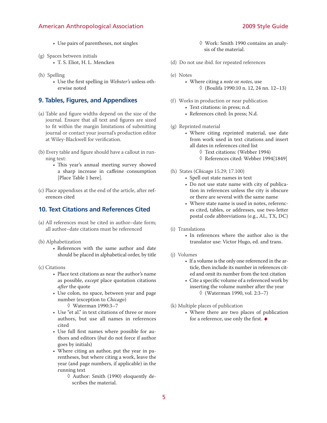- Use pairs of parentheses, not singles
- (g) Spaces between initials
	- T. S. Eliot, H. L. Mencken
- (h) Spelling
	- Use the first spelling in *Webster's* unless otherwise noted

#### **9. Tables, Figures, and Appendixes**

- (a) Table and figure widths depend on the size of the journal. Ensure that all text and figures are sized to fit within the margin limitations of submitting journal or contact your journal's production editor at Wiley-Blackwell for verification.
- (b) Every table and figure should have a callout in running text:
	- This year's annual meeting survey showed a sharp increase in caffeine consumption [Place Table 1 here].
- (c) Place appendixes at the end of the article, after references cited

### **10. Text Citations and References Cited**

- (a) All references must be cited in author–date form; all author–date citations must be referenced
- (b) Alphabetization
	- References with the same author and date should be placed in alphabetical order, by title
- (c) Citations
	- Place text citations as near the author's name as possible, *except* place quotation citations *after* the quote
	- Use colon, no space, between year and page number (exception to *Chicago*)
		- ◊ Waterman 1990:3–7
	- Use "et al." in text citations of three or more authors, but use all names in references cited
	- Use full first names where possible for authors and editors (*but* do not force if author goes by initials)
	- Where citing an author, put the year in parentheses, but where citing a work, leave the year (and page numbers, if applicable) in the running text
		- ◊ Author: Smith (1990) eloquently describes the material.

◊ Work: Smith 1990 contains an analysis of the material.

- (d) Do not use ibid. for repeated references
- (e) Notes
	- Where citing a *note* or *notes*, use ◊ (Boulifa 1990:10 n. 12, 24 nn. 12–13)
- (f) Works in production or near publication
	- Text citations: in press; n.d.
	- References cited: In press; N.d.
- (g) Reprinted material
	- Where citing reprinted material, use date from work used in text citations and insert all dates in references cited list
		- ◊ Text citations: (Webber 1994)
		- ◊ References cited: Webber 1994[1849]
- (h) States (*Chicago* 15.29; 17.100)
	- Spell out state names in text
	- Do not use state name with city of publication in references unless the city is obscure or there are several with the same name
	- Where state name is used in notes, references cited, tables, or addresses, use two-letter postal code abbreviations (e.g., AL, TX, DC)
- (i) Translations
	- In references where the author also is the translator use: Victor Hugo, ed. and trans.
- (j) Volumes
	- If a volume is the only one referenced in the article, then include its number in references cited and omit its number from the text citation
	- Cite a specific volume of a referenced work by inserting the volume number after the year ◊ (Waterman 1990, vol. 2:3–7)
- (k) Multiple places of publication
	- Where there are two places of publication for a reference, use only the first.  $\bullet$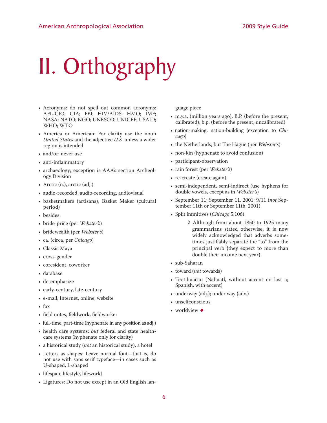# II. Orthography

- Acronyms: do not spell out common acronyms: AFL-CIO; CIA; FBI; HIV/AIDS; HMO; IMF; NASA; NATO; NGO; UNESCO; UNICEF; USAID; WHO; WTO
- America or American: For clarity use the noun *United States* and the adjective *U.S.* unless a wider region is intended
- and/or: never use
- anti-inflammatory
- archaeology; exception is AAA's section Archeology Division
- Arctic (n.), arctic (adj.)
- audio-recorded, audio-recording, audiovisual
- basketmakers (artisans), Basket Maker (cultural period)
- besides
- bride-price (per *Webster's*)
- bridewealth (per *Webster's*)
- ca. (circa, per *Chicago*)
- Classic Maya
- cross-gender
- coresident, coworker
- database
- de-emphasize
- early-century, late-century
- e-mail, Internet, online, website
- fax
- field notes, fieldwork, fieldworker
- full-time, part-time (hyphenate in any position as adj.)
- health care systems; *but* federal and state healthcare systems (hyphenate only for clarity)
- a historical study (*not* an historical study), a hotel
- Letters as shapes: Leave normal font—that is, do not use with sans serif typeface—in cases such as U-shaped, L-shaped
- lifespan, lifestyle, lifeworld
- Ligatures: Do not use except in an Old English lan-

guage piece

- m.y.a. (million years ago), B.P. (before the present, calibrated), b.p. (before the present, uncalibrated)
- nation-making, nation-building (exception to *Chicago*)
- the Netherlands; but The Hague (per *Webster's*)
- non-kin (hyphenate to avoid confusion)
- participant-observation
- rain forest (per *Webster's*)
- re-create (create again)
- semi-independent, semi-indirect (use hyphens for double vowels, except as in *Webster's*)
- September 11; September 11, 2001; 9/11 (*not* September 11th or September 11th, 2001)
- Split infinitives (*Chicago* 5.106)

◊ Although from about 1850 to 1925 many grammarians stated otherwise, it is now widely acknowledged that adverbs sometimes justifiably separate the "to" from the principal verb {they expect to more than double their income next year}.

- sub-Saharan
- toward (*not* towards)
- Teotihuacan (Nahuatl, without accent on last a; Spanish, with accent)
- underway (adj.); under way (adv.)
- unselfconscious
- worldview  $\bullet$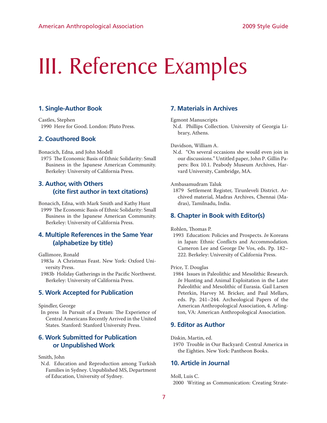# III. Reference Examples

#### **1. Single-Author Book**

Castles, Stephen 1990 Here for Good. London: Pluto Press.

#### **2. Coauthored Book**

Bonacich, Edna, and John Modell

1975 The Economic Basis of Ethnic Solidarity: Small Business in the Japanese American Community. Berkeley: University of California Press.

## **3. Author, with Others (cite first author in text citations)**

Bonacich, Edna, with Mark Smith and Kathy Hunt 1999 The Economic Basis of Ethnic Solidarity: Small Business in the Japanese American Community. Berkeley: University of California Press.

#### **4. Multiple References in the Same Year (alphabetize by title)**

Gallimore, Ronald

- 1983a A Christmas Feast. New York: Oxford University Press.
- 1983b Holiday Gatherings in the Pacific Northwest. Berkeley: University of California Press.

#### **5. Work Accepted for Publication**

Spindler, George

In press In Pursuit of a Dream: The Experience of Central Americans Recently Arrived in the United States. Stanford: Stanford University Press.

#### **6. Work Submitted for Publication or Unpublished Work**

#### Smith, John

N.d. Education and Reproduction among Turkish Families in Sydney. Unpublished MS, Department of Education, University of Sydney.

#### **7. Materials in Archives**

Egmont Manuscripts

N.d. Phillips Collection. University of Georgia Library, Athens.

Davidson, William A.

N.d. "On several occasions she would even join in our discussions." Untitled paper, John P. Gillin Papers: Box 10.1. Peabody Museum Archives, Harvard University, Cambridge, MA.

#### Ambasamudram Taluk

1879 Settlement Register, Tirunleveli District. Archived material, Madras Archives, Chennai (Madras), Tamilnadu, India.

#### **8. Chapter in Book with Editor(s)**

Rohlen, Thomas P.

1993 Education: Policies and Prospects. *In* Koreans in Japan: Ethnic Conflicts and Accommodation. Cameron Lee and George De Vos, eds. Pp. 182– 222. Berkeley: University of California Press.

Price, T. Douglas

1984 Issues in Paleolithic and Mesolithic Research. *In* Hunting and Animal Exploitation in the Later Paleolithic and Mesolithic of Eurasia. Gail Larsen Peterkin, Harvey M. Bricker, and Paul Mellars, eds. Pp. 241–244. Archeological Papers of the American Anthropological Association, 4. Arlington, VA: American Anthropological Association.

#### **9. Editor as Author**

Diskin, Martin, ed.

1970 Trouble in Our Backyard: Central America in the Eighties. New York: Pantheon Books.

#### **10. Article in Journal**

Moll, Luis C.

2000 Writing as Communication: Creating Strate-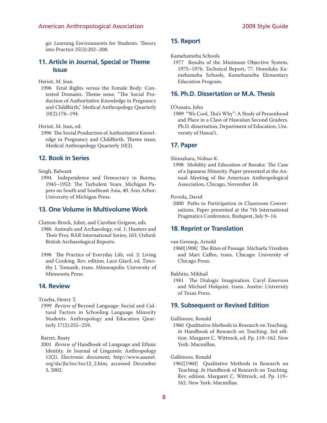gic Learning Environments for Students. Theory into Practice 25(3):202–208.

#### **11. Article in Journal, Special or Theme Issue**

Heriot, M. Jean

1996 Fetal Rights versus the Female Body: Contested Domains. Theme issue, "The Social Production of Authoritative Knowledge in Pregnancy and Childbirth," Medical Anthropology Quarterly 10(2):176–194.

Heriot, M. Jean, ed.

1996 The Social Production of Authoritative Knowledge in Pregnancy and Childbirth. Theme issue, Medical Anthropology Quarterly 10(2).

#### **12. Book in Series**

Singh, Balwant

1994 Independence and Democracy in Burma, 1945–1952: The Turbulent Years. Michigan Papers on South and Southeast Asia, 40. Ann Arbor: University of Michigan Press.

#### **13. One Volume in Multivolume Work**

Clutton-Brock, Juliet, and Caroline Grigson, eds.

- 1986 Animals and Archaeology, vol. 1: Hunters and Their Prey. BAR International Series, 163. Oxford: British Archaeological Reports.
- 1998 The Practice of Everyday Life, vol. 2: Living and Cooking. Rev. edition. Luce Giard, ed. Timothy J. Tomasik, trans. Minneapolis: University of Minnesota Press.

#### **14. Review**

Trueba, Henry T.

1999 *Review of* Beyond Language: Social and Cultural Factors in Schooling Language Minority Students. Anthropology and Education Quarterly 17(2):255–259.

Barret, Rusty

2001 *Review of* Handbook of Language and Ethnic Identity. *In* Journal of Linguistic Anthropology 12(2). Electronic document, http://www.aaanet. org/sla/jla/toc/toc12\_2.htm, accessed December 3, 2002.

#### **15. Report**

Kamehameha Schools

1977 Results of the Minimum Objective System, 1975–1976. Technical Report, 77. Honolulu: Kamehameha Schools, Kamehameha Elementary Education Program.

#### **16. Ph.D. Dissertation or M.A. Thesis**

#### D'Amato, John

1989 "We Cool, Tha's Why": A Study of Personhood and Place in a Class of Hawaiian Second Graders. Ph.D. dissertation, Department of Education, University of Hawai'i.

#### **17. Paper**

Shimahara, Nobuo K.

1998 Mobility and Education of Buraku: The Case of a Japanese Minority. Paper presented at the Annual Meeting of the American Anthropological Association, Chicago, November 18.

Poveda, David

2000 Paths to Participation in Classroom Conversations. Paper presented at the 7th International Pragmatics Conference, Budapest, July 9–14.

#### **18. Reprint or Translation**

van Gennep, Arnold

1960[1908] The Rites of Passage. Michaela Vizedom and Mari Caffee, trans. Chicago: University of Chicago Press.

Bakhtin, Mikhail

1981 The Dialogic Imagination. Caryl Emerson and Michael Holquist, trans. Austin: University of Texas Press.

#### **19. Subsequent or Revised Edition**

#### Gallimore, Ronald

1960 Qualitative Methods in Research on Teaching. *In* Handbook of Research on Teaching. 3rd edition. Margaret C. Wittrock, ed. Pp. 119–162. New York: Macmillan.

Gallimore, Ronald

1962[1960] Qualitative Methods in Research on Teaching. *In* Handbook of Research on Teaching. Rev. edition. Margaret C. Wittrock, ed. Pp. 119– 162. New York: Macmillan.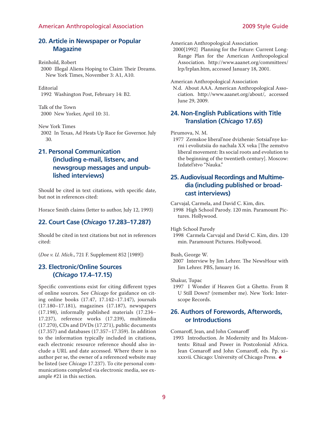#### **20. Article in Newspaper or Popular Magazine**

Reinhold, Robert

2000 Illegal Aliens Hoping to Claim Their Dreams. New York Times, November 3: A1, A10.

#### Editorial

1992 Washington Post, February 14: B2.

Talk of the Town 2000 New Yorker, April 10: 31.

New York Times

2002 In Texas, Ad Heats Up Race for Governor. July 30.

## **21. Personal Communication (including e-mail, listserv, and newsgroup messages and unpublished interviews)**

Should be cited in text citations, with specific date, but not in references cited:

Horace Smith claims (letter to author, July 12, 1993)

#### **22. Court Case (***Chicago* **17.283–17.287)**

Should be cited in text citations but not in references cited:

(*Doe v. U. Mich*., 721 F. Supplement 852 [1989])

### **23. Electronic/Online Sources (***Chicago* **17.4–17.15)**

Specific conventions exist for citing different types of online sources. See *Chicago* for guidance on citing online books (17.47, 17.142–17.147), journals (17.180–17.181), magazines (17.187), newspapers (17.198), informally published materials (17.234– 17.237), reference works (17.239), multimedia (17.270), CDs and DVDs (17.271), public documents (17.357) and databases (17.357–17.359). In addition to the information typically included in citations, each electronic resource reference should also include a URL and date accessed. Where there is no author per se, the owner of a referenced website may be listed (see *Chicago* 17.237). To cite personal communications completed via electronic media, see example #21 in this section.

American Anthropological Association

2000[1992] Planning for the Future: Current Long-Range Plan for the American Anthropological Association. http://www.aaanet.org/committees/ lrp/lrplan.htm, accessed January 18, 2001.

American Anthropological Association

N.d. About AAA. American Anthropological Association. http://www.aaanet.org/about/, accessed June 29, 2009.

#### **24. Non-English Publications with Title Translation (***Chicago* **17.65)**

#### Pirumova, N. M.

1977 Zemskoe liberal'noe dvizhenie: Sotsial'nye korni i evoliutsiia do nachala XX veka [The zemstvo liberal movement: Its social roots and evolution to the beginning of the twentieth century]. Moscow: Izdatel'stvo "Nauka."

### **25. Audiovisual Recordings and Multimedia (including published or broadcast interviews)**

Carvajal, Carmela, and David C. Kim, dirs.

1998 High School Parody. 120 min. Paramount Pictures. Hollywood.

High School Parody

1998 Carmela Carvajal and David C. Kim, dirs. 120 min. Paramount Pictures. Hollywood.

#### Bush, George W.

2007 Interview by Jim Lehrer. The NewsHour with Jim Lehrer. PBS, January 16.

Shakur, Tupac

1997 I Wonder if Heaven Got a Ghetto. From R U Still Down? (remember me). New York: Interscope Records.

#### **26. Authors of Forewords, Afterwords, or Introductions**

Comaroff, Jean, and John Comaroff

1993 Introduction. *In* Modernity and Its Malcontents: Ritual and Power in Postcolonial Africa. Jean Comaroff and John Comaroff, eds. Pp. xi– xxxvii. Chicago: University of Chicago Press. •